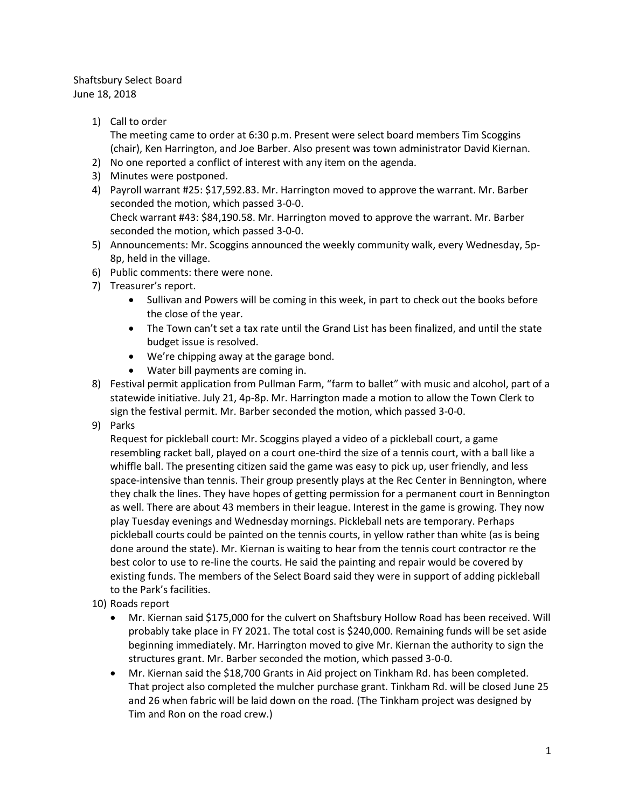## Shaftsbury Select Board June 18, 2018

- 1) Call to order The meeting came to order at 6:30 p.m. Present were select board members Tim Scoggins (chair), Ken Harrington, and Joe Barber. Also present was town administrator David Kiernan.
	- 2) No one reported a conflict of interest with any item on the agenda.
	- 3) Minutes were postponed.
	- 4) Payroll warrant #25: \$17,592.83. Mr. Harrington moved to approve the warrant. Mr. Barber seconded the motion, which passed 3-0-0. Check warrant #43: \$84,190.58. Mr. Harrington moved to approve the warrant. Mr. Barber seconded the motion, which passed 3-0-0.
	- 5) Announcements: Mr. Scoggins announced the weekly community walk, every Wednesday, 5p-8p, held in the village.
	- 6) Public comments: there were none.
	- 7) Treasurer's report.
		- Sullivan and Powers will be coming in this week, in part to check out the books before the close of the year.
		- The Town can't set a tax rate until the Grand List has been finalized, and until the state budget issue is resolved.
		- We're chipping away at the garage bond.
		- Water bill payments are coming in.
	- 8) Festival permit application from Pullman Farm, "farm to ballet" with music and alcohol, part of a statewide initiative. July 21, 4p-8p. Mr. Harrington made a motion to allow the Town Clerk to sign the festival permit. Mr. Barber seconded the motion, which passed 3-0-0.
	- 9) Parks

Request for pickleball court: Mr. Scoggins played a video of a pickleball court, a game resembling racket ball, played on a court one-third the size of a tennis court, with a ball like a whiffle ball. The presenting citizen said the game was easy to pick up, user friendly, and less space-intensive than tennis. Their group presently plays at the Rec Center in Bennington, where they chalk the lines. They have hopes of getting permission for a permanent court in Bennington as well. There are about 43 members in their league. Interest in the game is growing. They now play Tuesday evenings and Wednesday mornings. Pickleball nets are temporary. Perhaps pickleball courts could be painted on the tennis courts, in yellow rather than white (as is being done around the state). Mr. Kiernan is waiting to hear from the tennis court contractor re the best color to use to re-line the courts. He said the painting and repair would be covered by existing funds. The members of the Select Board said they were in support of adding pickleball to the Park's facilities.

- 10) Roads report
	- Mr. Kiernan said \$175,000 for the culvert on Shaftsbury Hollow Road has been received. Will probably take place in FY 2021. The total cost is \$240,000. Remaining funds will be set aside beginning immediately. Mr. Harrington moved to give Mr. Kiernan the authority to sign the structures grant. Mr. Barber seconded the motion, which passed 3-0-0.
	- Mr. Kiernan said the \$18,700 Grants in Aid project on Tinkham Rd. has been completed. That project also completed the mulcher purchase grant. Tinkham Rd. will be closed June 25 and 26 when fabric will be laid down on the road. (The Tinkham project was designed by Tim and Ron on the road crew.)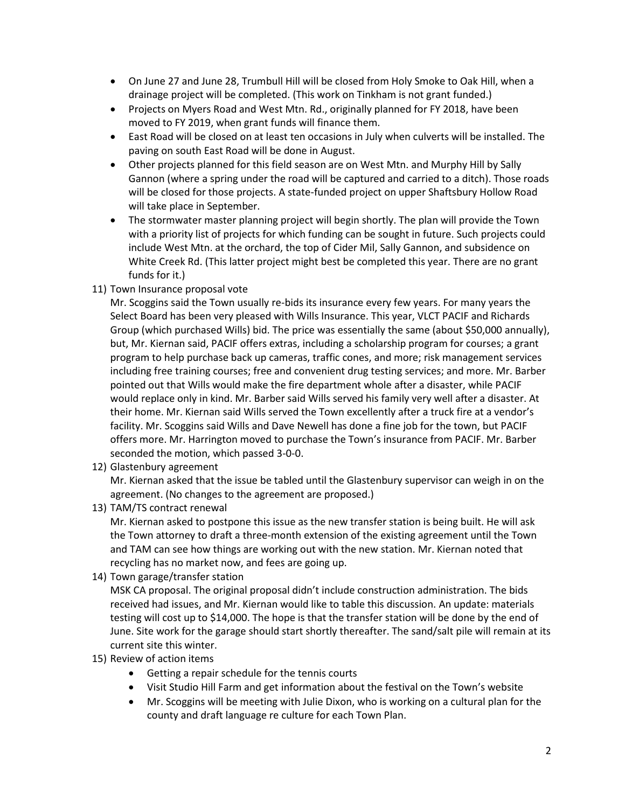- On June 27 and June 28, Trumbull Hill will be closed from Holy Smoke to Oak Hill, when a drainage project will be completed. (This work on Tinkham is not grant funded.)
- Projects on Myers Road and West Mtn. Rd., originally planned for FY 2018, have been moved to FY 2019, when grant funds will finance them.
- East Road will be closed on at least ten occasions in July when culverts will be installed. The paving on south East Road will be done in August.
- Other projects planned for this field season are on West Mtn. and Murphy Hill by Sally Gannon (where a spring under the road will be captured and carried to a ditch). Those roads will be closed for those projects. A state-funded project on upper Shaftsbury Hollow Road will take place in September.
- The stormwater master planning project will begin shortly. The plan will provide the Town with a priority list of projects for which funding can be sought in future. Such projects could include West Mtn. at the orchard, the top of Cider Mil, Sally Gannon, and subsidence on White Creek Rd. (This latter project might best be completed this year. There are no grant funds for it.)
- 11) Town Insurance proposal vote

Mr. Scoggins said the Town usually re-bids its insurance every few years. For many years the Select Board has been very pleased with Wills Insurance. This year, VLCT PACIF and Richards Group (which purchased Wills) bid. The price was essentially the same (about \$50,000 annually), but, Mr. Kiernan said, PACIF offers extras, including a scholarship program for courses; a grant program to help purchase back up cameras, traffic cones, and more; risk management services including free training courses; free and convenient drug testing services; and more. Mr. Barber pointed out that Wills would make the fire department whole after a disaster, while PACIF would replace only in kind. Mr. Barber said Wills served his family very well after a disaster. At their home. Mr. Kiernan said Wills served the Town excellently after a truck fire at a vendor's facility. Mr. Scoggins said Wills and Dave Newell has done a fine job for the town, but PACIF offers more. Mr. Harrington moved to purchase the Town's insurance from PACIF. Mr. Barber seconded the motion, which passed 3-0-0.

12) Glastenbury agreement

Mr. Kiernan asked that the issue be tabled until the Glastenbury supervisor can weigh in on the agreement. (No changes to the agreement are proposed.)

13) TAM/TS contract renewal

Mr. Kiernan asked to postpone this issue as the new transfer station is being built. He will ask the Town attorney to draft a three-month extension of the existing agreement until the Town and TAM can see how things are working out with the new station. Mr. Kiernan noted that recycling has no market now, and fees are going up.

14) Town garage/transfer station

MSK CA proposal. The original proposal didn't include construction administration. The bids received had issues, and Mr. Kiernan would like to table this discussion. An update: materials testing will cost up to \$14,000. The hope is that the transfer station will be done by the end of June. Site work for the garage should start shortly thereafter. The sand/salt pile will remain at its current site this winter.

- 15) Review of action items
	- Getting a repair schedule for the tennis courts
	- Visit Studio Hill Farm and get information about the festival on the Town's website
	- Mr. Scoggins will be meeting with Julie Dixon, who is working on a cultural plan for the county and draft language re culture for each Town Plan.